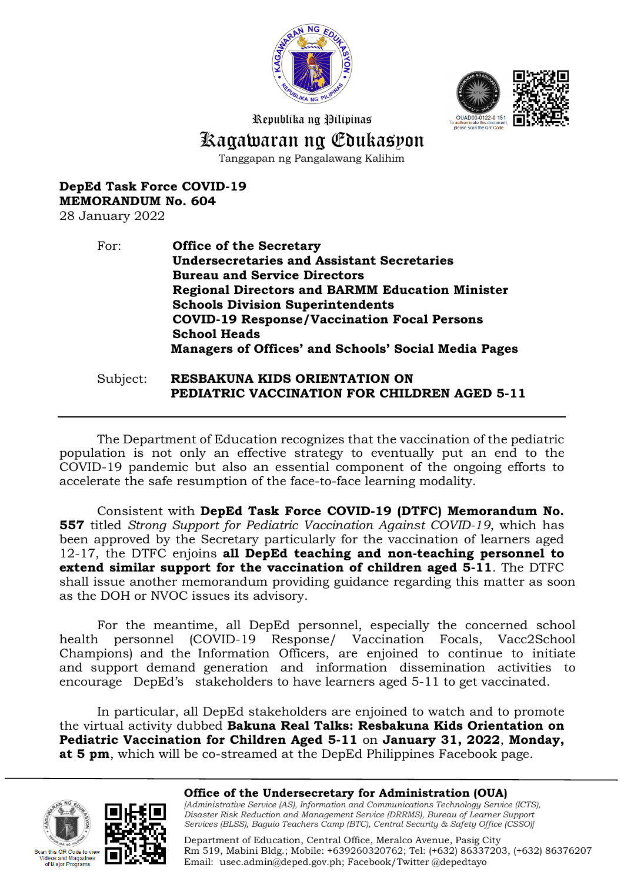



Republika ng Pilipinas

# Kagawaran ng Edukasyon

Tanggapan ng Pangalawang Kalihim

## **DepEd Task Force COVID-19 MEMORANDUM No. 604**

28 January 2022

## For: **Office of the Secretary Undersecretaries and Assistant Secretaries Bureau and Service Directors Regional Directors and BARMM Education Minister Schools Division Superintendents COVID-19 Response/Vaccination Focal Persons School Heads Managers of Offices' and Schools' Social Media Pages**

#### Subject: **RESBAKUNA KIDS ORIENTATION ON PEDIATRIC VACCINATION FOR CHILDREN AGED 5-11**

The Department of Education recognizes that the vaccination of the pediatric population is not only an effective strategy to eventually put an end to the COVID-19 pandemic but also an essential component of the ongoing efforts to accelerate the safe resumption of the face-to-face learning modality.

Consistent with **DepEd Task Force COVID-19 (DTFC) Memorandum No. 557** titled *Strong Support for Pediatric Vaccination Against COVID-19*, which has been approved by the Secretary particularly for the vaccination of learners aged 12-17, the DTFC enjoins **all DepEd teaching and non-teaching personnel to extend similar support for the vaccination of children aged 5-11**. The DTFC shall issue another memorandum providing guidance regarding this matter as soon as the DOH or NVOC issues its advisory.

For the meantime, all DepEd personnel, especially the concerned school health personnel (COVID-19 Response/ Vaccination Focals, Vacc2School Champions) and the Information Officers, are enjoined to continue to initiate and support demand generation and information dissemination activities to encourage DepEd's stakeholders to have learners aged 5-11 to get vaccinated.

In particular, all DepEd stakeholders are enjoined to watch and to promote the virtual activity dubbed **Bakuna Real Talks: Resbakuna Kids Orientation on Pediatric Vaccination for Children Aged 5-11** on **January 31, 2022**, **Monday, at 5 pm**, which will be co-streamed at the DepEd Philippines Facebook page.





#### **Office of the Undersecretary for Administration (OUA)**  *[Administrative Service (AS), Information and Communications Technology Service (ICTS), Disaster Risk Reduction and Management Service (DRRMS), Bureau of Learner Support Services (BLSS), Baguio Teachers Camp (BTC), Central Security & Safety Office (CSSO)]*

Department of Education, Central Office, Meralco Avenue, Pasig City Rm 519, Mabini Bldg.; Mobile: +639260320762; Tel: (+632) 86337203, (+632) 86376207 Email: [usec.admin@deped.gov.ph;](mailto:usec.admin@deped.gov.ph) Facebook/Twitter @depedtayo